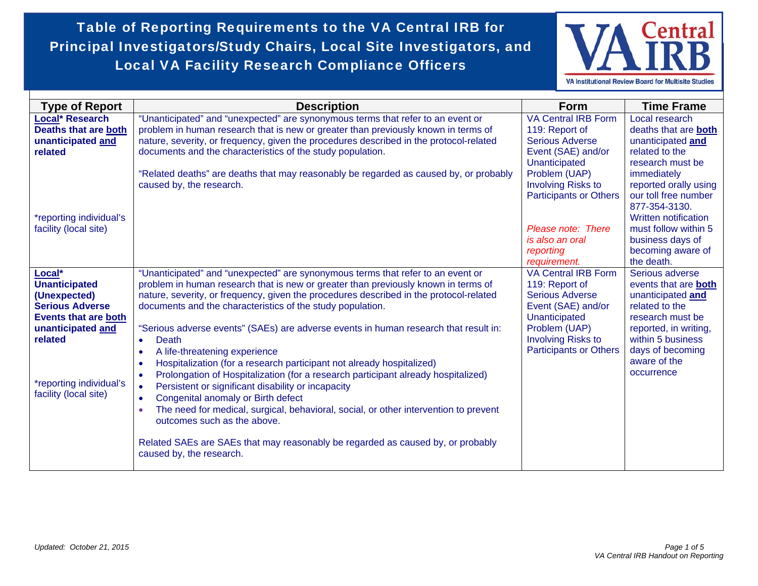Table of Reporting Requirements to the VA Central IRB for Principal Investigators/Study Chairs, Local Site Investigators, and Local VA Facility Research Compliance Officers



| <b>Type of Report</b>                                                                                                                                                                       | <b>Description</b>                                                                                                                                                                                                                                                                                                                                                                                                                                                                                                                                                                                                                                                                                                                                                                                                                                                                                                                                                                                          | <b>Form</b>                                                                                                                                                                                  | <b>Time Frame</b>                                                                                                                                                                                  |
|---------------------------------------------------------------------------------------------------------------------------------------------------------------------------------------------|-------------------------------------------------------------------------------------------------------------------------------------------------------------------------------------------------------------------------------------------------------------------------------------------------------------------------------------------------------------------------------------------------------------------------------------------------------------------------------------------------------------------------------------------------------------------------------------------------------------------------------------------------------------------------------------------------------------------------------------------------------------------------------------------------------------------------------------------------------------------------------------------------------------------------------------------------------------------------------------------------------------|----------------------------------------------------------------------------------------------------------------------------------------------------------------------------------------------|----------------------------------------------------------------------------------------------------------------------------------------------------------------------------------------------------|
| <b>Local* Research</b><br><b>Deaths that are both</b><br>unanticipated and<br>related                                                                                                       | "Unanticipated" and "unexpected" are synonymous terms that refer to an event or<br>problem in human research that is new or greater than previously known in terms of<br>nature, severity, or frequency, given the procedures described in the protocol-related<br>documents and the characteristics of the study population.<br>"Related deaths" are deaths that may reasonably be regarded as caused by, or probably<br>caused by, the research.                                                                                                                                                                                                                                                                                                                                                                                                                                                                                                                                                          | <b>VA Central IRB Form</b><br>119: Report of<br><b>Serious Adverse</b><br>Event (SAE) and/or<br>Unanticipated<br>Problem (UAP)<br><b>Involving Risks to</b><br><b>Participants or Others</b> | Local research<br>deaths that are both<br>unanticipated and<br>related to the<br>research must be<br>immediately<br>reported orally using<br>our toll free number<br>877-354-3130.                 |
| *reporting individual's<br>facility (local site)                                                                                                                                            |                                                                                                                                                                                                                                                                                                                                                                                                                                                                                                                                                                                                                                                                                                                                                                                                                                                                                                                                                                                                             | Please note: There<br>is also an oral<br>reporting<br>requirement.                                                                                                                           | Written notification<br>must follow within 5<br>business days of<br>becoming aware of<br>the death.                                                                                                |
| Local*<br><b>Unanticipated</b><br>(Unexpected)<br><b>Serious Adverse</b><br><b>Events that are both</b><br>unanticipated and<br>related<br>*reporting individual's<br>facility (local site) | "Unanticipated" and "unexpected" are synonymous terms that refer to an event or<br>problem in human research that is new or greater than previously known in terms of<br>nature, severity, or frequency, given the procedures described in the protocol-related<br>documents and the characteristics of the study population.<br>"Serious adverse events" (SAEs) are adverse events in human research that result in:<br>Death<br>$\bullet$<br>A life-threatening experience<br>Hospitalization (for a research participant not already hospitalized)<br>$\bullet$<br>Prolongation of Hospitalization (for a research participant already hospitalized)<br>$\bullet$<br>Persistent or significant disability or incapacity<br>Congenital anomaly or Birth defect<br>٠<br>The need for medical, surgical, behavioral, social, or other intervention to prevent<br>outcomes such as the above.<br>Related SAEs are SAEs that may reasonably be regarded as caused by, or probably<br>caused by, the research. | <b>VA Central IRB Form</b><br>119: Report of<br><b>Serious Adverse</b><br>Event (SAE) and/or<br>Unanticipated<br>Problem (UAP)<br><b>Involving Risks to</b><br><b>Participants or Others</b> | Serious adverse<br>events that are both<br>unanticipated and<br>related to the<br>research must be<br>reported, in writing,<br>within 5 business<br>days of becoming<br>aware of the<br>occurrence |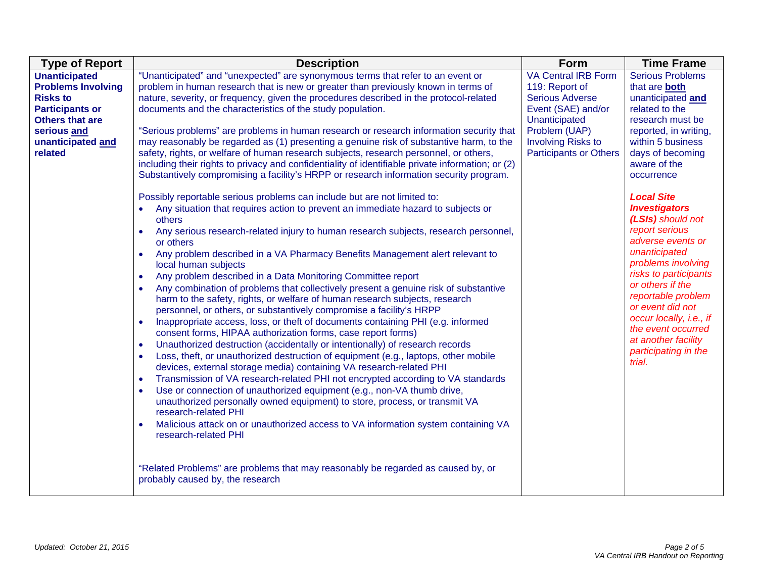| <b>Type of Report</b>                                                                                                                                                   | <b>Description</b>                                                                                                                                                                                                                                                                                                                                                                                                                                                                                                                                                                                                                                                                                                                                                                                                                                                                                                                                                                                                                                                                                                                                                                                                                                                                                                                                                                                                                                                                                                                                                                                                                                                                                                                                                                                                                                                                                                                                                                                                                                                                                                                                                                                                                                                                                                                                                                                                                                                                     | <b>Form</b>                                                                                                                                                                                  | <b>Time Frame</b>                                                                                                                                                                                                                                                                                                                                                                                                                                                                                                                                           |
|-------------------------------------------------------------------------------------------------------------------------------------------------------------------------|----------------------------------------------------------------------------------------------------------------------------------------------------------------------------------------------------------------------------------------------------------------------------------------------------------------------------------------------------------------------------------------------------------------------------------------------------------------------------------------------------------------------------------------------------------------------------------------------------------------------------------------------------------------------------------------------------------------------------------------------------------------------------------------------------------------------------------------------------------------------------------------------------------------------------------------------------------------------------------------------------------------------------------------------------------------------------------------------------------------------------------------------------------------------------------------------------------------------------------------------------------------------------------------------------------------------------------------------------------------------------------------------------------------------------------------------------------------------------------------------------------------------------------------------------------------------------------------------------------------------------------------------------------------------------------------------------------------------------------------------------------------------------------------------------------------------------------------------------------------------------------------------------------------------------------------------------------------------------------------------------------------------------------------------------------------------------------------------------------------------------------------------------------------------------------------------------------------------------------------------------------------------------------------------------------------------------------------------------------------------------------------------------------------------------------------------------------------------------------------|----------------------------------------------------------------------------------------------------------------------------------------------------------------------------------------------|-------------------------------------------------------------------------------------------------------------------------------------------------------------------------------------------------------------------------------------------------------------------------------------------------------------------------------------------------------------------------------------------------------------------------------------------------------------------------------------------------------------------------------------------------------------|
| <b>Unanticipated</b><br><b>Problems Involving</b><br><b>Risks to</b><br><b>Participants or</b><br><b>Others that are</b><br>serious and<br>unanticipated and<br>related | "Unanticipated" and "unexpected" are synonymous terms that refer to an event or<br>problem in human research that is new or greater than previously known in terms of<br>nature, severity, or frequency, given the procedures described in the protocol-related<br>documents and the characteristics of the study population.<br>"Serious problems" are problems in human research or research information security that<br>may reasonably be regarded as (1) presenting a genuine risk of substantive harm, to the<br>safety, rights, or welfare of human research subjects, research personnel, or others,<br>including their rights to privacy and confidentiality of identifiable private information; or (2)<br>Substantively compromising a facility's HRPP or research information security program.<br>Possibly reportable serious problems can include but are not limited to:<br>Any situation that requires action to prevent an immediate hazard to subjects or<br>others<br>Any serious research-related injury to human research subjects, research personnel,<br>or others<br>Any problem described in a VA Pharmacy Benefits Management alert relevant to<br>$\bullet$<br>local human subjects<br>Any problem described in a Data Monitoring Committee report<br>$\bullet$<br>Any combination of problems that collectively present a genuine risk of substantive<br>$\bullet$<br>harm to the safety, rights, or welfare of human research subjects, research<br>personnel, or others, or substantively compromise a facility's HRPP<br>Inappropriate access, loss, or theft of documents containing PHI (e.g. informed<br>consent forms, HIPAA authorization forms, case report forms)<br>Unauthorized destruction (accidentally or intentionally) of research records<br>$\bullet$<br>Loss, theft, or unauthorized destruction of equipment (e.g., laptops, other mobile<br>devices, external storage media) containing VA research-related PHI<br>Transmission of VA research-related PHI not encrypted according to VA standards<br>Use or connection of unauthorized equipment (e.g., non-VA thumb drive,<br>unauthorized personally owned equipment) to store, process, or transmit VA<br>research-related PHI<br>Malicious attack on or unauthorized access to VA information system containing VA<br>$\bullet$<br>research-related PHI<br>"Related Problems" are problems that may reasonably be regarded as caused by, or<br>probably caused by, the research | <b>VA Central IRB Form</b><br>119: Report of<br><b>Serious Adverse</b><br>Event (SAE) and/or<br>Unanticipated<br>Problem (UAP)<br><b>Involving Risks to</b><br><b>Participants or Others</b> | <b>Serious Problems</b><br>that are <b>both</b><br>unanticipated and<br>related to the<br>research must be<br>reported, in writing,<br>within 5 business<br>days of becoming<br>aware of the<br>occurrence<br><b>Local Site</b><br><b>Investigators</b><br>(LSIs) should not<br>report serious<br>adverse events or<br>unanticipated<br>problems involving<br>risks to participants<br>or others if the<br>reportable problem<br>or event did not<br>occur locally, i.e., if<br>the event occurred<br>at another facility<br>participating in the<br>trial. |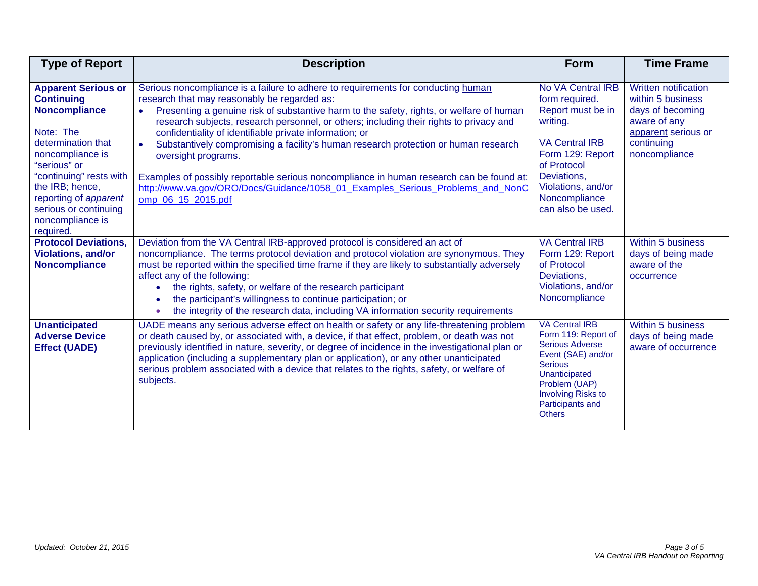| <b>Type of Report</b>                                                                                                                                                                                                                                                           | <b>Description</b>                                                                                                                                                                                                                                                                                                                                                                                                                                                                                                                                                                                                                                                                                                 | <b>Form</b>                                                                                                                                                                                                        | <b>Time Frame</b>                                                                                                                          |
|---------------------------------------------------------------------------------------------------------------------------------------------------------------------------------------------------------------------------------------------------------------------------------|--------------------------------------------------------------------------------------------------------------------------------------------------------------------------------------------------------------------------------------------------------------------------------------------------------------------------------------------------------------------------------------------------------------------------------------------------------------------------------------------------------------------------------------------------------------------------------------------------------------------------------------------------------------------------------------------------------------------|--------------------------------------------------------------------------------------------------------------------------------------------------------------------------------------------------------------------|--------------------------------------------------------------------------------------------------------------------------------------------|
| <b>Apparent Serious or</b><br><b>Continuing</b><br><b>Noncompliance</b><br>Note: The<br>determination that<br>noncompliance is<br>"serious" or<br>"continuing" rests with<br>the IRB; hence,<br>reporting of apparent<br>serious or continuing<br>noncompliance is<br>required. | Serious noncompliance is a failure to adhere to requirements for conducting human<br>research that may reasonably be regarded as:<br>Presenting a genuine risk of substantive harm to the safety, rights, or welfare of human<br>research subjects, research personnel, or others; including their rights to privacy and<br>confidentiality of identifiable private information; or<br>Substantively compromising a facility's human research protection or human research<br>$\bullet$<br>oversight programs.<br>Examples of possibly reportable serious noncompliance in human research can be found at:<br>http://www.va.gov/ORO/Docs/Guidance/1058_01_Examples_Serious_Problems_and_NonC<br>omp 06 15 2015.pdf | No VA Central IRB<br>form required.<br>Report must be in<br>writing.<br><b>VA Central IRB</b><br>Form 129: Report<br>of Protocol<br>Deviations,<br>Violations, and/or<br>Noncompliance<br>can also be used.        | <b>Written notification</b><br>within 5 business<br>days of becoming<br>aware of any<br>apparent serious or<br>continuing<br>noncompliance |
| <b>Protocol Deviations,</b><br><b>Violations, and/or</b><br><b>Noncompliance</b>                                                                                                                                                                                                | Deviation from the VA Central IRB-approved protocol is considered an act of<br>noncompliance. The terms protocol deviation and protocol violation are synonymous. They<br>must be reported within the specified time frame if they are likely to substantially adversely<br>affect any of the following:<br>the rights, safety, or welfare of the research participant<br>the participant's willingness to continue participation; or<br>$\bullet$<br>the integrity of the research data, including VA information security requirements                                                                                                                                                                           | <b>VA Central IRB</b><br>Form 129: Report<br>of Protocol<br>Deviations,<br>Violations, and/or<br>Noncompliance                                                                                                     | <b>Within 5 business</b><br>days of being made<br>aware of the<br>occurrence                                                               |
| <b>Unanticipated</b><br><b>Adverse Device</b><br><b>Effect (UADE)</b>                                                                                                                                                                                                           | UADE means any serious adverse effect on health or safety or any life-threatening problem<br>or death caused by, or associated with, a device, if that effect, problem, or death was not<br>previously identified in nature, severity, or degree of incidence in the investigational plan or<br>application (including a supplementary plan or application), or any other unanticipated<br>serious problem associated with a device that relates to the rights, safety, or welfare of<br>subjects.                                                                                                                                                                                                                 | <b>VA Central IRB</b><br>Form 119: Report of<br><b>Serious Adverse</b><br>Event (SAE) and/or<br><b>Serious</b><br>Unanticipated<br>Problem (UAP)<br><b>Involving Risks to</b><br>Participants and<br><b>Others</b> | <b>Within 5 business</b><br>days of being made<br>aware of occurrence                                                                      |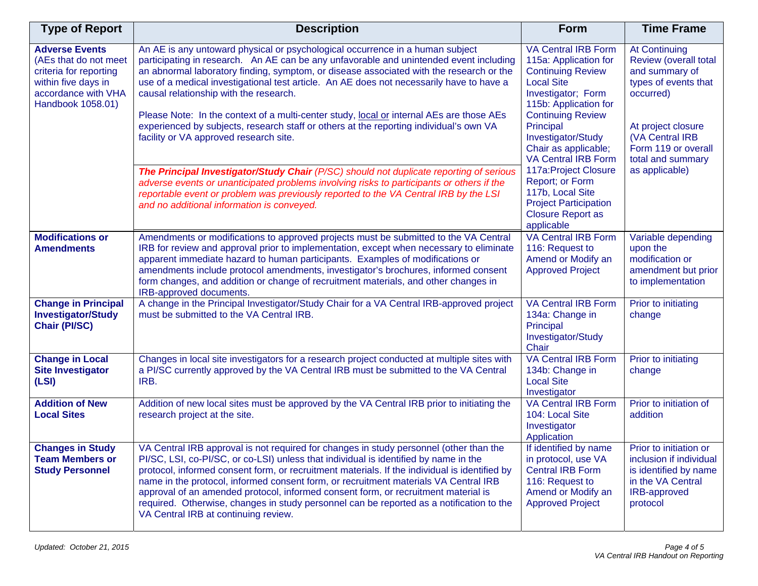| <b>Type of Report</b>                                                                                                                       | <b>Description</b>                                                                                                                                                                                                                                                                                                                                                                                                                                                                                                                                                                                                                       | <b>Form</b>                                                                                                                                                                                                                                                                                                                                                                                                        | <b>Time Frame</b>                                                                                                                                                                                           |
|---------------------------------------------------------------------------------------------------------------------------------------------|------------------------------------------------------------------------------------------------------------------------------------------------------------------------------------------------------------------------------------------------------------------------------------------------------------------------------------------------------------------------------------------------------------------------------------------------------------------------------------------------------------------------------------------------------------------------------------------------------------------------------------------|--------------------------------------------------------------------------------------------------------------------------------------------------------------------------------------------------------------------------------------------------------------------------------------------------------------------------------------------------------------------------------------------------------------------|-------------------------------------------------------------------------------------------------------------------------------------------------------------------------------------------------------------|
| <b>Adverse Events</b><br>(AEs that do not meet<br>criteria for reporting<br>within five days in<br>accordance with VHA<br>Handbook 1058.01) | An AE is any untoward physical or psychological occurrence in a human subject<br>participating in research. An AE can be any unfavorable and unintended event including<br>an abnormal laboratory finding, symptom, or disease associated with the research or the<br>use of a medical investigational test article. An AE does not necessarily have to have a<br>causal relationship with the research.<br>Please Note: In the context of a multi-center study, local or internal AEs are those AEs<br>experienced by subjects, research staff or others at the reporting individual's own VA<br>facility or VA approved research site. | <b>VA Central IRB Form</b><br>115a: Application for<br><b>Continuing Review</b><br><b>Local Site</b><br>Investigator; Form<br>115b: Application for<br><b>Continuing Review</b><br>Principal<br>Investigator/Study<br>Chair as applicable;<br><b>VA Central IRB Form</b><br>117a: Project Closure<br>Report; or Form<br>117b, Local Site<br><b>Project Participation</b><br><b>Closure Report as</b><br>applicable | <b>At Continuing</b><br>Review (overall total<br>and summary of<br>types of events that<br>occurred)<br>At project closure<br>(VA Central IRB<br>Form 119 or overall<br>total and summary<br>as applicable) |
|                                                                                                                                             | The Principal Investigator/Study Chair (P/SC) should not duplicate reporting of serious<br>adverse events or unanticipated problems involving risks to participants or others if the<br>reportable event or problem was previously reported to the VA Central IRB by the LSI<br>and no additional information is conveyed.                                                                                                                                                                                                                                                                                                               |                                                                                                                                                                                                                                                                                                                                                                                                                    |                                                                                                                                                                                                             |
| <b>Modifications or</b><br><b>Amendments</b>                                                                                                | Amendments or modifications to approved projects must be submitted to the VA Central<br>IRB for review and approval prior to implementation, except when necessary to eliminate<br>apparent immediate hazard to human participants. Examples of modifications or<br>amendments include protocol amendments, investigator's brochures, informed consent<br>form changes, and addition or change of recruitment materials, and other changes in<br>IRB-approved documents.                                                                                                                                                                 | <b>VA Central IRB Form</b><br>116: Request to<br>Amend or Modify an<br><b>Approved Project</b>                                                                                                                                                                                                                                                                                                                     | Variable depending<br>upon the<br>modification or<br>amendment but prior<br>to implementation                                                                                                               |
| <b>Change in Principal</b><br><b>Investigator/Study</b><br><b>Chair (PI/SC)</b>                                                             | A change in the Principal Investigator/Study Chair for a VA Central IRB-approved project<br>must be submitted to the VA Central IRB.                                                                                                                                                                                                                                                                                                                                                                                                                                                                                                     | <b>VA Central IRB Form</b><br>134a: Change in<br>Principal<br>Investigator/Study<br>Chair                                                                                                                                                                                                                                                                                                                          | Prior to initiating<br>change                                                                                                                                                                               |
| <b>Change in Local</b><br><b>Site Investigator</b><br>(LSI)                                                                                 | Changes in local site investigators for a research project conducted at multiple sites with<br>a PI/SC currently approved by the VA Central IRB must be submitted to the VA Central<br>IRB.                                                                                                                                                                                                                                                                                                                                                                                                                                              | <b>VA Central IRB Form</b><br>134b: Change in<br><b>Local Site</b><br>Investigator                                                                                                                                                                                                                                                                                                                                 | Prior to initiating<br>change                                                                                                                                                                               |
| <b>Addition of New</b><br><b>Local Sites</b>                                                                                                | Addition of new local sites must be approved by the VA Central IRB prior to initiating the<br>research project at the site.                                                                                                                                                                                                                                                                                                                                                                                                                                                                                                              | <b>VA Central IRB Form</b><br>104: Local Site<br>Investigator<br>Application                                                                                                                                                                                                                                                                                                                                       | Prior to initiation of<br>addition                                                                                                                                                                          |
| <b>Changes in Study</b><br><b>Team Members or</b><br><b>Study Personnel</b>                                                                 | VA Central IRB approval is not required for changes in study personnel (other than the<br>PI/SC, LSI, co-PI/SC, or co-LSI) unless that individual is identified by name in the<br>protocol, informed consent form, or recruitment materials. If the individual is identified by<br>name in the protocol, informed consent form, or recruitment materials VA Central IRB<br>approval of an amended protocol, informed consent form, or recruitment material is<br>required. Otherwise, changes in study personnel can be reported as a notification to the<br>VA Central IRB at continuing review.                                        | If identified by name<br>in protocol, use VA<br><b>Central IRB Form</b><br>116: Request to<br>Amend or Modify an<br><b>Approved Project</b>                                                                                                                                                                                                                                                                        | Prior to initiation or<br>inclusion if individual<br>is identified by name<br>in the VA Central<br>IRB-approved<br>protocol                                                                                 |